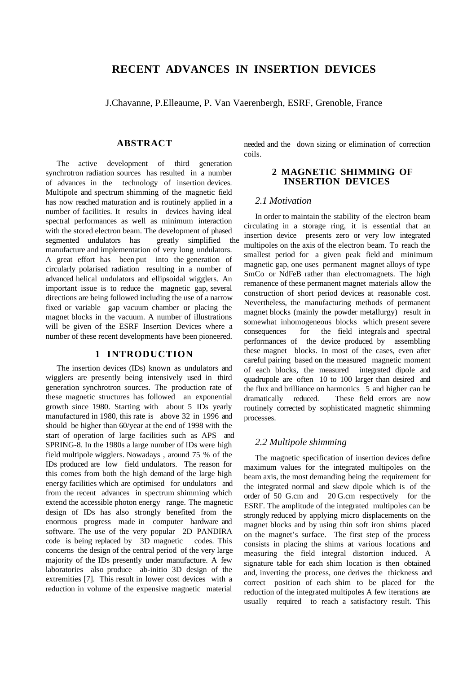# **RECENT ADVANCES IN INSERTION DEVICES**

J.Chavanne, P.Elleaume, P. Van Vaerenbergh, ESRF, Grenoble, France

## **ABSTRACT**

The active development of third generation synchrotron radiation sources has resulted in a number of advances in the technology of insertion devices. Multipole and spectrum shimming of the magnetic field has now reached maturation and is routinely applied in a number of facilities. It results in devices having ideal spectral performances as well as minimum interaction with the stored electron beam. The development of phased<br>segmented undulators has greatly simplified the segmented undulators has manufacture and implementation of very long undulators. A great effort has been put into the generation of circularly polarised radiation resulting in a number of advanced helical undulators and ellipsoidal wigglers. An important issue is to reduce the magnetic gap, several directions are being followed including the use of a narrow fixed or variable gap vacuum chamber or placing the magnet blocks in the vacuum. A number of illustrations will be given of the ESRF Insertion Devices where a number of these recent developments have been pioneered.

# **1 INTRODUCTION**

The insertion devices (IDs) known as undulators and wigglers are presently being intensively used in third generation synchrotron sources. The production rate of these magnetic structures has followed an exponential growth since 1980. Starting with about 5 IDs yearly manufactured in 1980, this rate is above 32 in 1996 and should be higher than 60/year at the end of 1998 with the start of operation of large facilities such as APS and SPRING-8. In the 1980s a large number of IDs were high field multipole wigglers. Nowadays , around 75 % of the IDs produced are low field undulators. The reason for this comes from both the high demand of the large high energy facilities which are optimised for undulators and from the recent advances in spectrum shimming which extend the accessible photon energy range. The magnetic design of IDs has also strongly benefited from the enormous progress made in computer hardware and software. The use of the very popular 2D PANDIRA code is being replaced by 3D magnetic codes. This concerns the design of the central period of the very large majority of the IDs presently under manufacture. A few laboratories also produce ab-initio 3D design of the extremities [7]. This result in lower cost devices with a reduction in volume of the expensive magnetic material

needed and the down sizing or elimination of correction coils.

# **2 MAGNETIC SHIMMING OF INSERTION DEVICES**

# *2.1 Motivation*

In order to maintain the stability of the electron beam circulating in a storage ring, it is essential that an insertion device presents zero or very low integrated multipoles on the axis of the electron beam. To reach the smallest period for a given peak field and minimum magnetic gap, one uses permanent magnet alloys of type SmCo or NdFeB rather than electromagnets. The high remanence of these permanent magnet materials allow the construction of short period devices at reasonable cost. Nevertheless, the manufacturing methods of permanent magnet blocks (mainly the powder metallurgy) result in somewhat inhomogeneous blocks which present severe consequences for the field integrals and spectral performances of the device produced by assembling these magnet blocks. In most of the cases, even after careful pairing based on the measured magnetic moment of each blocks, the measured integrated dipole and quadrupole are often 10 to 100 larger than desired and the flux and brilliance on harmonics 5 and higher can be dramatically reduced. These field errors are now routinely corrected by sophisticated magnetic shimming processes.

#### *2.2 Multipole shimming*

The magnetic specification of insertion devices define maximum values for the integrated multipoles on the beam axis, the most demanding being the requirement for the integrated normal and skew dipole which is of the order of 50 G.cm and 20 G.cm respectively for the ESRF. The amplitude of the integrated multipoles can be strongly reduced by applying micro displacements on the magnet blocks and by using thin soft iron shims placed on the magnet's surface. The first step of the process consists in placing the shims at various locations and measuring the field integral distortion induced. A signature table for each shim location is then obtained and, inverting the process, one derives the thickness and correct position of each shim to be placed for the reduction of the integrated multipoles A few iterations are usually required to reach a satisfactory result. This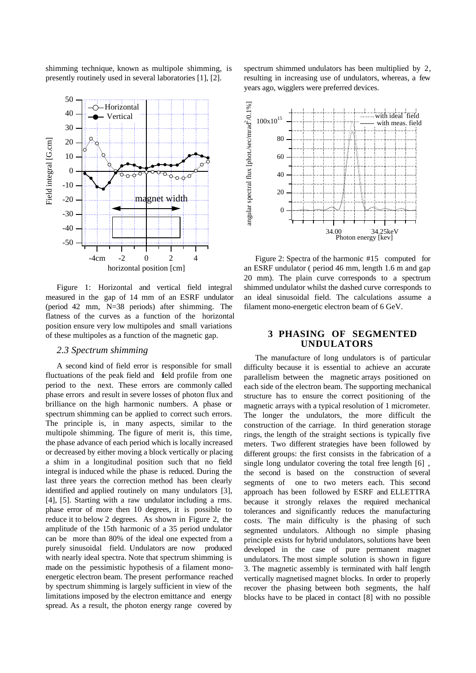

Figure 1: Horizontal and vertical field integral measured in the gap of 14 mm of an ESRF undulator (period 42 mm, N=38 periods) after shimming. The flatness of the curves as a function of the horizontal position ensure very low multipoles and small variations of these multipoles as a function of the magnetic gap.

#### *2.3 Spectrum shimming*

A second kind of field error is responsible for small fluctuations of the peak field and field profile from one period to the next. These errors are commonly called phase errors and result in severe losses of photon flux and brilliance on the high harmonic numbers. A phase or spectrum shimming can be applied to correct such errors. The principle is, in many aspects, similar to the multipole shimming. The figure of merit is, this time, the phase advance of each period which is locally increased or decreased by either moving a block vertically or placing a shim in a longitudinal position such that no field integral is induced while the phase is reduced. During the last three years the correction method has been clearly identified and applied routinely on many undulators [3], [4], [5]. Starting with a raw undulator including a rms. phase error of more then 10 degrees, it is possible to reduce it to below 2 degrees. As shown in Figure 2, the amplitude of the 15th harmonic of a 35 period undulator can be more than 80% of the ideal one expected from a purely sinusoidal field. Undulators are now produced with nearly ideal spectra. Note that spectrum shimming is made on the pessimistic hypothesis of a filament monoenergetic electron beam. The present performance reached by spectrum shimming is largely sufficient in view of the limitations imposed by the electron emittance and energy spread. As a result, the photon energy range covered by

spectrum shimmed undulators has been multiplied by 2, resulting in increasing use of undulators, whereas, a few years ago, wigglers were preferred devices.



Figure 2: Spectra of the harmonic #15 computed for an ESRF undulator ( period 46 mm, length 1.6 m and gap 20 mm). The plain curve corresponds to a spectrum shimmed undulator whilst the dashed curve corresponds to an ideal sinusoidal field. The calculations assume a filament mono-energetic electron beam of 6 GeV.

#### **3 PHASING OF SEGMENTED UNDULATORS**

The manufacture of long undulators is of particular difficulty because it is essential to achieve an accurate parallelism between the magnetic arrays positioned on each side of the electron beam. The supporting mechanical structure has to ensure the correct positioning of the magnetic arrays with a typical resolution of 1 micrometer. The longer the undulators, the more difficult the construction of the carriage. In third generation storage rings, the length of the straight sections is typically five meters. Two different strategies have been followed by different groups: the first consists in the fabrication of a single long undulator covering the total free length [6] , the second is based on the construction of several segments of one to two meters each. This second approach has been followed by ESRF and ELLETTRA because it strongly relaxes the required mechanical tolerances and significantly reduces the manufacturing costs. The main difficulty is the phasing of such segmented undulators. Although no simple phasing principle exists for hybrid undulators, solutions have been developed in the case of pure permanent magnet undulators. The most simple solution is shown in figure 3. The magnetic assembly is terminated with half length vertically magnetised magnet blocks. In order to properly recover the phasing between both segments, the half blocks have to be placed in contact [8] with no possible

shimming technique, known as multipole shimming, is presently routinely used in several laboratories [1], [2].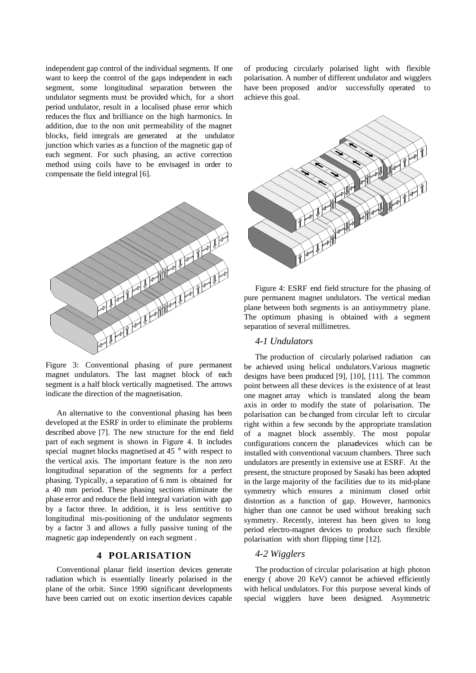independent gap control of the individual segments. If one want to keep the control of the gaps independent in each segment, some longitudinal separation between the undulator segments must be provided which, for a short period undulator, result in a localised phase error which reduces the flux and brilliance on the high harmonics. In addition, due to the non unit permeability of the magnet blocks, field integrals are generated at the undulator junction which varies as a function of the magnetic gap of each segment. For such phasing, an active correction method using coils have to be envisaged in order to compensate the field integral [6].



Figure 3: Conventional phasing of pure permanent magnet undulators. The last magnet block of each segment is a half block vertically magnetised. The arrows indicate the direction of the magnetisation.

An alternative to the conventional phasing has been developed at the ESRF in order to eliminate the problems described above [7]. The new structure for the end field part of each segment is shown in Figure 4. It includes special magnet blocks magnetised at 45 ° with respect to the vertical axis. The important feature is the non zero longitudinal separation of the segments for a perfect phasing. Typically, a separation of 6 mm is obtained for a 40 mm period. These phasing sections eliminate the phase error and reduce the field integral variation with gap by a factor three. In addition, it is less sentitive to longitudinal mis-positioning of the undulator segments by a factor 3 and allows a fully passive tuning of the magnetic gap independently on each segment .

# **4 POLARISATION**

Conventional planar field insertion devices generate radiation which is essentially linearly polarised in the plane of the orbit. Since 1990 significant developments have been carried out on exotic insertion devices capable of producing circularly polarised light with flexible polarisation. A number of different undulator and wigglers have been proposed and/or successfully operated to achieve this goal.



Figure 4: ESRF end field structure for the phasing of pure permanent magnet undulators. The vertical median plane between both segments is an antisymmetry plane. The optimum phasing is obtained with a segment separation of several millimetres.

#### *4-1 Undulators*

The production of circularly polarised radiation can be achieved using helical undulators.Various magnetic designs have been produced [9], [10], [11]. The common point between all these devices is the existence of at least one magnet array which is translated along the beam axis in order to modify the state of polarisation. The polarisation can be changed from circular left to circular right within a few seconds by the appropriate translation of a magnet block assembly. The most popular configurations concern the planar devices which can be installed with conventional vacuum chambers. Three such undulators are presently in extensive use at ESRF. At the present, the structure proposed by Sasaki has been adopted in the large majority of the facilities due to its mid-plane symmetry which ensures a minimum closed orbit distortion as a function of gap. However, harmonics higher than one cannot be used without breaking such symmetry. Recently, interest has been given to long period electro-magnet devices to produce such flexible polarisation with short flipping time [12].

# *4-2 Wigglers*

The production of circular polarisation at high photon energy ( above 20 KeV) cannot be achieved efficiently with helical undulators. For this purpose several kinds of special wigglers have been designed. Asymmetric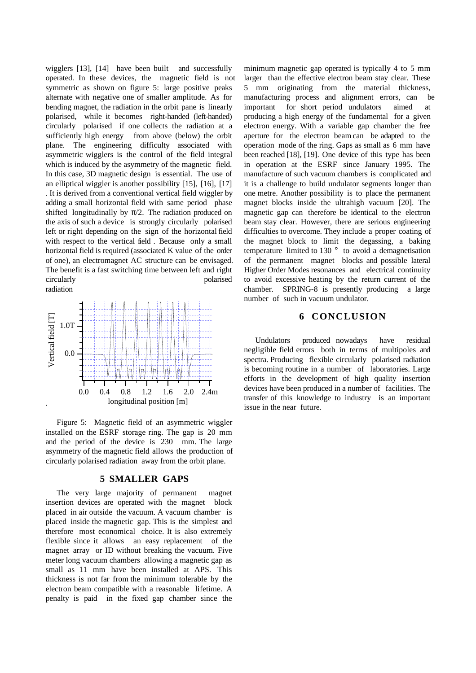wigglers [13], [14] have been built and successfully operated. In these devices, the magnetic field is not symmetric as shown on figure 5: large positive peaks alternate with negative one of smaller amplitude. As for bending magnet, the radiation in the orbit pane is linearly polarised, while it becomes right-handed (left-handed) circularly polarised if one collects the radiation at a sufficiently high energy from above (below) the orbit plane. The engineering difficulty associated with asymmetric wigglers is the control of the field integral which is induced by the asymmetry of the magnetic field. In this case, 3D magnetic design is essential. The use of an elliptical wiggler is another possibility [15], [16], [17] . It is derived from a conventional vertical field wiggler by adding a small horizontal field with same period phase shifted longitudinally by  $\pi/2$ . The radiation produced on the axis of such a device is strongly circularly polarised left or right depending on the sign of the horizontal field with respect to the vertical field . Because only a small horizontal field is required (associated K value of the order of one), an electromagnet AC structure can be envisaged. The benefit is a fast switching time between left and right circularly polarised radiation



Figure 5: Magnetic field of an asymmetric wiggler installed on the ESRF storage ring. The gap is 20 mm and the period of the device is 230 mm. The large asymmetry of the magnetic field allows the production of circularly polarised radiation away from the orbit plane.

# **5 SMALLER GAPS**

The very large majority of permanent magnet insertion devices are operated with the magnet block placed in air outside the vacuum. A vacuum chamber is placed inside the magnetic gap. This is the simplest and therefore most economical choice. It is also extremely flexible since it allows an easy replacement of the magnet array or ID without breaking the vacuum. Five meter long vacuum chambers allowing a magnetic gap as small as 11 mm have been installed at APS. This thickness is not far from the minimum tolerable by the electron beam compatible with a reasonable lifetime. A penalty is paid in the fixed gap chamber since the minimum magnetic gap operated is typically 4 to 5 mm larger than the effective electron beam stay clear. These 5 mm originating from the material thickness, manufacturing process and alignment errors, can be important for short period undulators aimed at producing a high energy of the fundamental for a given electron energy. With a variable gap chamber the free aperture for the electron beam can be adapted to the operation mode of the ring. Gaps as small as 6 mm have been reached [18], [19]. One device of this type has been in operation at the ESRF since January 1995. The manufacture of such vacuum chambers is complicated and it is a challenge to build undulator segments longer than one metre. Another possibility is to place the permanent magnet blocks inside the ultrahigh vacuum [20]. The magnetic gap can therefore be identical to the electron beam stay clear. However, there are serious engineering difficulties to overcome. They include a proper coating of the magnet block to limit the degassing, a baking temperature limited to 130 ° to avoid a demagnetisation of the permanent magnet blocks and possible lateral Higher Order Modes resonances and electrical continuity to avoid excessive heating by the return current of the chamber. SPRING-8 is presently producing a large number of such in vacuum undulator.

# **6 CONCLUSION**

Undulators produced nowadays have residual negligible field errors both in terms of multipoles and spectra. Producing flexible circularly polarised radiation is becoming routine in a number of laboratories. Large efforts in the development of high quality insertion devices have been produced in a number of facilities. The transfer of this knowledge to industry is an important issue in the near future.